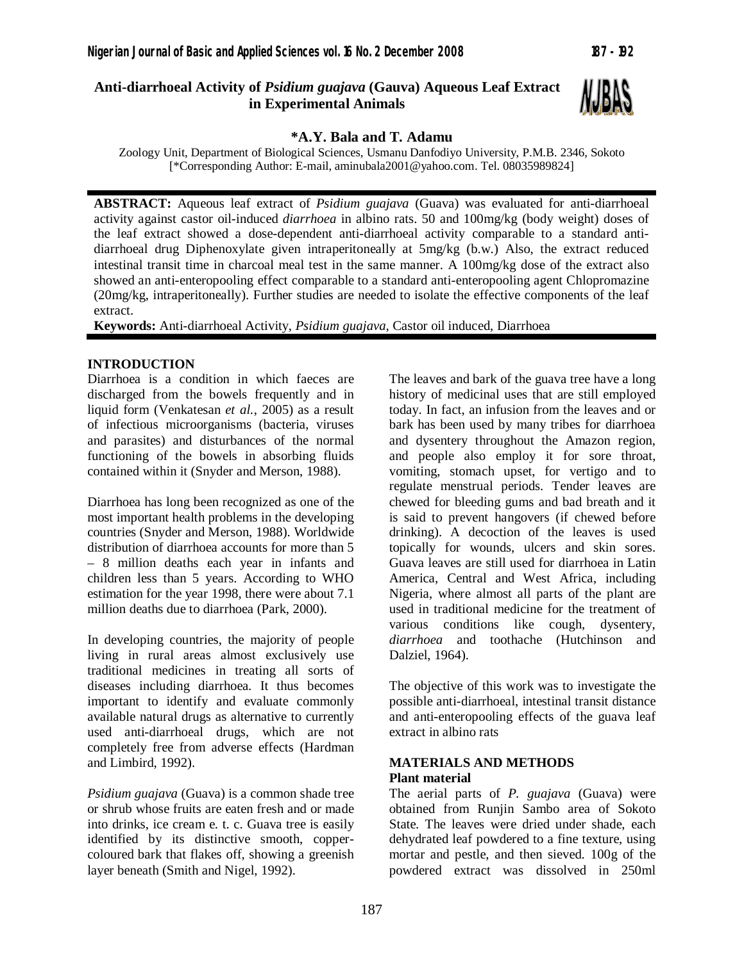## **Anti-diarrhoeal Activity of** *Psidium guajava* **(Gauva) Aqueous Leaf Extract in Experimental Animals**



#### **\*A.Y. Bala and T. Adamu**

Zoology Unit, Department of Biological Sciences, Usmanu Danfodiyo University, P.M.B. 2346, Sokoto [\*Corresponding Author: E-mail, aminubala2001@yahoo.com. Tel. 08035989824]

**ABSTRACT:** Aqueous leaf extract of *Psidium guajava* (Guava) was evaluated for anti-diarrhoeal activity against castor oil-induced *diarrhoea* in albino rats. 50 and 100mg/kg (body weight) doses of the leaf extract showed a dose-dependent anti-diarrhoeal activity comparable to a standard antidiarrhoeal drug Diphenoxylate given intraperitoneally at 5mg/kg (b.w.) Also, the extract reduced intestinal transit time in charcoal meal test in the same manner. A 100mg/kg dose of the extract also showed an anti-enteropooling effect comparable to a standard anti-enteropooling agent Chlopromazine (20mg/kg, intraperitoneally). Further studies are needed to isolate the effective components of the leaf extract.

**Keywords:** Anti-diarrhoeal Activity, *Psidium guajava,* Castor oil induced, Diarrhoea

#### **INTRODUCTION**

Diarrhoea is a condition in which faeces are discharged from the bowels frequently and in liquid form (Venkatesan *et al.*, 2005) as a result of infectious microorganisms (bacteria, viruses and parasites) and disturbances of the normal functioning of the bowels in absorbing fluids contained within it (Snyder and Merson, 1988).

Diarrhoea has long been recognized as one of the most important health problems in the developing countries (Snyder and Merson, 1988). Worldwide distribution of diarrhoea accounts for more than 5 – 8 million deaths each year in infants and children less than 5 years. According to WHO estimation for the year 1998, there were about 7.1 million deaths due to diarrhoea (Park, 2000).

In developing countries, the majority of people living in rural areas almost exclusively use traditional medicines in treating all sorts of diseases including diarrhoea*.* It thus becomes important to identify and evaluate commonly available natural drugs as alternative to currently used anti-diarrhoeal drugs, which are not completely free from adverse effects (Hardman and Limbird, 1992).

*Psidium guajava* (Guava) is a common shade tree or shrub whose fruits are eaten fresh and or made into drinks, ice cream e. t. c. Guava tree is easily identified by its distinctive smooth, coppercoloured bark that flakes off, showing a greenish layer beneath (Smith and Nigel, 1992).

The leaves and bark of the guava tree have a long history of medicinal uses that are still employed today. In fact, an infusion from the leaves and or bark has been used by many tribes for diarrhoea and dysentery throughout the Amazon region, and people also employ it for sore throat, vomiting, stomach upset, for vertigo and to regulate menstrual periods. Tender leaves are chewed for bleeding gums and bad breath and it is said to prevent hangovers (if chewed before drinking). A decoction of the leaves is used topically for wounds, ulcers and skin sores. Guava leaves are still used for diarrhoea in Latin America, Central and West Africa, including Nigeria, where almost all parts of the plant are used in traditional medicine for the treatment of various conditions like cough, dysentery, *diarrhoea* and toothache (Hutchinson and Dalziel, 1964).

The objective of this work was to investigate the possible anti-diarrhoeal, intestinal transit distance and anti-enteropooling effects of the guava leaf extract in albino rats

#### **MATERIALS AND METHODS Plant material**

The aerial parts of *P. guajava* (Guava) were obtained from Runjin Sambo area of Sokoto State. The leaves were dried under shade, each dehydrated leaf powdered to a fine texture, using mortar and pestle, and then sieved. 100g of the powdered extract was dissolved in 250ml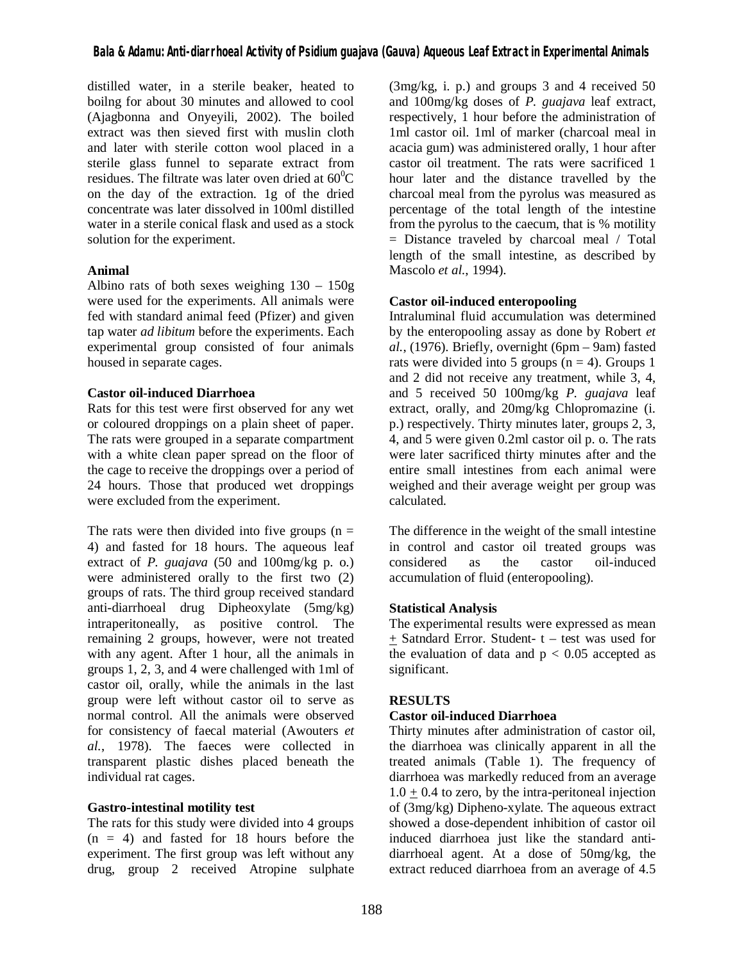distilled water, in a sterile beaker, heated to boilng for about 30 minutes and allowed to cool (Ajagbonna and Onyeyili, 2002). The boiled extract was then sieved first with muslin cloth and later with sterile cotton wool placed in a sterile glass funnel to separate extract from residues. The filtrate was later oven dried at  $60^{\circ}$ C on the day of the extraction. 1g of the dried concentrate was later dissolved in 100ml distilled water in a sterile conical flask and used as a stock solution for the experiment.

## **Animal**

Albino rats of both sexes weighing 130 – 150g were used for the experiments. All animals were fed with standard animal feed (Pfizer) and given tap water *ad libitum* before the experiments. Each experimental group consisted of four animals housed in separate cages.

#### **Castor oil-induced Diarrhoea**

Rats for this test were first observed for any wet or coloured droppings on a plain sheet of paper. The rats were grouped in a separate compartment with a white clean paper spread on the floor of the cage to receive the droppings over a period of 24 hours. Those that produced wet droppings were excluded from the experiment.

The rats were then divided into five groups  $(n =$ 4) and fasted for 18 hours. The aqueous leaf extract of *P. guajava* (50 and 100mg/kg p. o.) were administered orally to the first two (2) groups of rats. The third group received standard anti-diarrhoeal drug Dipheoxylate (5mg/kg) intraperitoneally, as positive control. The remaining 2 groups, however, were not treated with any agent. After 1 hour, all the animals in groups 1, 2, 3, and 4 were challenged with 1ml of castor oil, orally, while the animals in the last group were left without castor oil to serve as normal control. All the animals were observed for consistency of faecal material (Awouters *et al.*, 1978). The faeces were collected in transparent plastic dishes placed beneath the individual rat cages.

## **Gastro-intestinal motility test**

The rats for this study were divided into 4 groups  $(n = 4)$  and fasted for 18 hours before the experiment. The first group was left without any drug, group 2 received Atropine sulphate (3mg/kg, i. p.) and groups 3 and 4 received 50 and 100mg/kg doses of *P. guajava* leaf extract, respectively, 1 hour before the administration of 1ml castor oil. 1ml of marker (charcoal meal in acacia gum) was administered orally, 1 hour after castor oil treatment. The rats were sacrificed 1 hour later and the distance travelled by the charcoal meal from the pyrolus was measured as percentage of the total length of the intestine from the pyrolus to the caecum, that is % motility = Distance traveled by charcoal meal / Total length of the small intestine, as described by Mascolo *et al.*, 1994).

## **Castor oil-induced enteropooling**

Intraluminal fluid accumulation was determined by the enteropooling assay as done by Robert *et al.*, (1976). Briefly, overnight (6pm – 9am) fasted rats were divided into 5 groups  $(n = 4)$ . Groups 1 and 2 did not receive any treatment, while 3, 4, and 5 received 50 100mg/kg *P. guajava* leaf extract, orally, and 20mg/kg Chlopromazine (i. p.) respectively. Thirty minutes later, groups 2, 3, 4, and 5 were given 0.2ml castor oil p. o. The rats were later sacrificed thirty minutes after and the entire small intestines from each animal were weighed and their average weight per group was calculated.

The difference in the weight of the small intestine in control and castor oil treated groups was considered as the castor oil-induced accumulation of fluid (enteropooling).

## **Statistical Analysis**

The experimental results were expressed as mean + Satndard Error. Student- t – test was used for the evaluation of data and  $p < 0.05$  accepted as significant.

## **RESULTS**

## **Castor oil-induced Diarrhoea**

Thirty minutes after administration of castor oil, the diarrhoea was clinically apparent in all the treated animals (Table 1). The frequency of diarrhoea was markedly reduced from an average  $1.0 \pm 0.4$  to zero, by the intra-peritoneal injection of (3mg/kg) Dipheno-xylate. The aqueous extract showed a dose-dependent inhibition of castor oil induced diarrhoea just like the standard antidiarrhoeal agent. At a dose of 50mg/kg, the extract reduced diarrhoea from an average of 4.5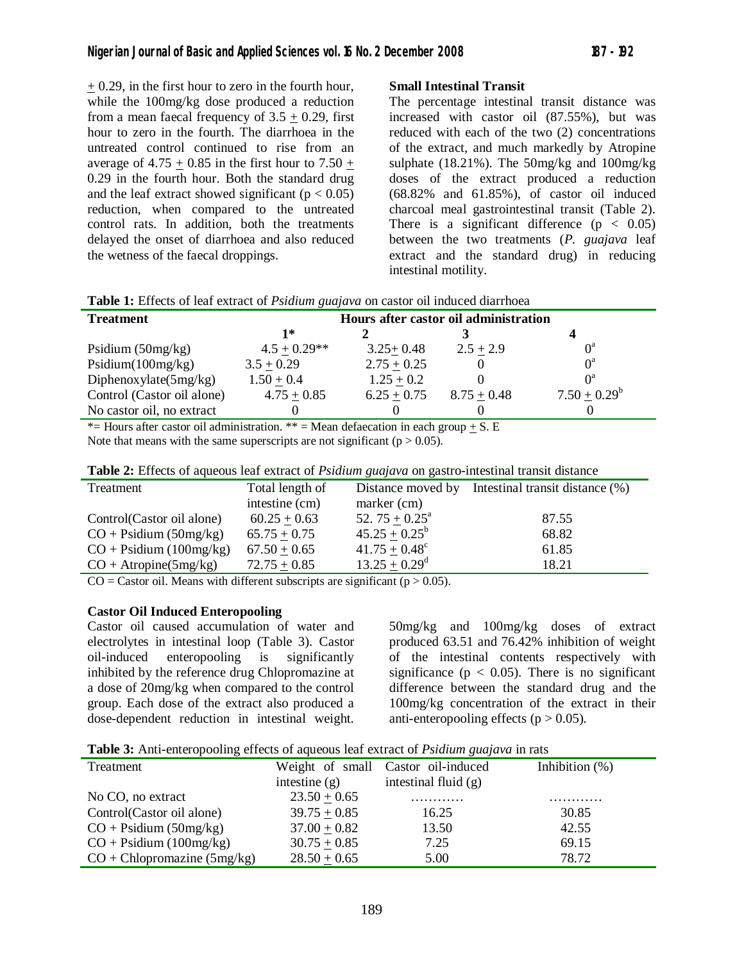+ 0.29, in the first hour to zero in the fourth hour, while the 100mg/kg dose produced a reduction from a mean faecal frequency of  $3.5 + 0.29$ , first hour to zero in the fourth. The diarrhoea in the untreated control continued to rise from an average of  $4.75 + 0.85$  in the first hour to  $7.50 +$ 0.29 in the fourth hour. Both the standard drug and the leaf extract showed significant ( $p < 0.05$ ) reduction, when compared to the untreated control rats. In addition, both the treatments delayed the onset of diarrhoea and also reduced the wetness of the faecal droppings.

# **Small Intestinal Transit**

The percentage intestinal transit distance was increased with castor oil (87.55%), but was reduced with each of the two (2) concentrations of the extract, and much markedly by Atropine sulphate (18.21%). The 50mg/kg and 100mg/kg doses of the extract produced a reduction (68.82% and 61.85%), of castor oil induced charcoal meal gastrointestinal transit (Table 2). There is a significant difference  $(p < 0.05)$ between the two treatments (*P. guajava* leaf extract and the standard drug) in reducing intestinal motility.

| <b>Treatment</b>           | Hours after castor oil administration |               |               |                 |  |
|----------------------------|---------------------------------------|---------------|---------------|-----------------|--|
|                            | $1*$                                  |               |               |                 |  |
| Psidium $(50mg/kg)$        | $4.5 + 0.29**$                        | $3.25 + 0.48$ | $2.5 + 2.9$   | $0^a$           |  |
| Psidium(100mg/kg)          | $3.5 + 0.29$                          | $2.75 + 0.25$ |               | $0^a$           |  |
| Diphenoxylate $(5mg/kg)$   | $1.50 + 0.4$                          | $1.25 + 0.2$  |               | $\bigcap^a$     |  |
| Control (Castor oil alone) | $4.75 + 0.85$                         | $6.25 + 0.75$ | $8.75 + 0.48$ | $7.50 + 0.29^b$ |  |
| No castor oil, no extract  |                                       |               |               |                 |  |

\*= Hours after castor oil administration. \*\* = Mean defaecation in each group  $\pm$  S. E

Note that means with the same superscripts are not significant ( $p > 0.05$ ).

| $\sim$ which is a representative that we can be considered the protection interesting the components. |                                   |                                  |                                 |  |
|-------------------------------------------------------------------------------------------------------|-----------------------------------|----------------------------------|---------------------------------|--|
| Treatment                                                                                             | Total length of<br>intestine (cm) | Distance moved by<br>marker (cm) | Intestinal transit distance (%) |  |
| Control(Castor oil alone)                                                                             | $60.25 + 0.63$                    | 52. $75 + 0.25^{\text{a}}$       | 87.55                           |  |
| $CO +$ Psidium (50mg/kg)                                                                              | $65.75 + 0.75$                    | $45.25 + 0.25^b$                 | 68.82                           |  |
| $CO +$ Psidium (100mg/kg)                                                                             | $67.50 + 0.65$                    | $41.75 + 0.48^c$                 | 61.85                           |  |
| $CO + Atropine(5mg/kg)$                                                                               | $72.75 + 0.85$                    | $13.25 + 0.29^d$                 | 18.21                           |  |
|                                                                                                       |                                   |                                  |                                 |  |

**Table 2:** Effects of aqueous leaf extract of *Psidium guajava* on gastro-intestinal transit distance

 $CO =$  Castor oil. Means with different subscripts are significant ( $p > 0.05$ ).

#### **Castor Oil Induced Enteropooling**

Castor oil caused accumulation of water and electrolytes in intestinal loop (Table 3). Castor oil-induced enteropooling is inhibited by the reference drug Chlopromazine at a dose of 20mg/kg when compared to the control group. Each dose of the extract also produced a dose-dependent reduction in intestinal weight.

50mg/kg and 100mg/kg doses of extract produced 63.51 and 76.42% inhibition of weight of the intestinal contents respectively with significance ( $p < 0.05$ ). There is no significant difference between the standard drug and the 100mg/kg concentration of the extract in their anti-enteropooling effects ( $p > 0.05$ ).

|  |  |  | Table 3: Anti-enteropooling effects of aqueous leaf extract of <i>Psidium guajava</i> in rats |
|--|--|--|-----------------------------------------------------------------------------------------------|
|  |  |  |                                                                                               |

| Treatment                               |                 | Weight of small Castor oil-induced | Inhibition $(\%)$ |
|-----------------------------------------|-----------------|------------------------------------|-------------------|
|                                         | intestine $(g)$ | intestinal fluid $(g)$             |                   |
| No CO, no extract                       | $23.50 + 0.65$  | .                                  | .                 |
| Control(Castor oil alone)               | $39.75 + 0.85$  | 16.25                              | 30.85             |
| $CO + \text{Psidium} (50 \text{mg/kg})$ | $37.00 + 0.82$  | 13.50                              | 42.55             |
| $CO +$ Psidium (100mg/kg)               | $30.75 + 0.85$  | 7.25                               | 69.15             |
| $CO + Chlopromazine (5mg/kg)$           | $28.50 + 0.65$  | 5.00                               | 78.72             |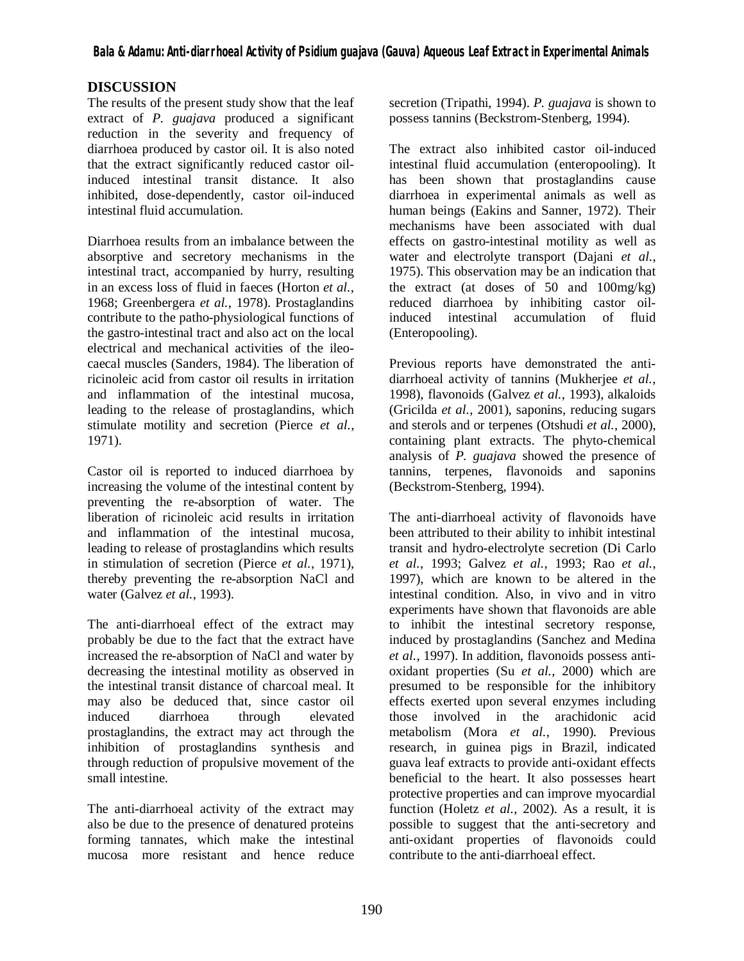# **DISCUSSION**

The results of the present study show that the leaf extract of *P. guajava* produced a significant reduction in the severity and frequency of diarrhoea produced by castor oil. It is also noted that the extract significantly reduced castor oilinduced intestinal transit distance. It also inhibited, dose-dependently, castor oil-induced intestinal fluid accumulation.

Diarrhoea results from an imbalance between the absorptive and secretory mechanisms in the intestinal tract, accompanied by hurry, resulting in an excess loss of fluid in faeces (Horton *et al.*, 1968; Greenbergera *et al.*, 1978). Prostaglandins contribute to the patho-physiological functions of the gastro-intestinal tract and also act on the local electrical and mechanical activities of the ileocaecal muscles (Sanders, 1984). The liberation of ricinoleic acid from castor oil results in irritation and inflammation of the intestinal mucosa, leading to the release of prostaglandins, which stimulate motility and secretion (Pierce *et al.*, 1971).

Castor oil is reported to induced diarrhoea by increasing the volume of the intestinal content by preventing the re-absorption of water. The liberation of ricinoleic acid results in irritation and inflammation of the intestinal mucosa, leading to release of prostaglandins which results in stimulation of secretion (Pierce *et al.*, 1971), thereby preventing the re-absorption NaCl and water (Galvez *et al.*, 1993).

The anti-diarrhoeal effect of the extract may probably be due to the fact that the extract have increased the re-absorption of NaCl and water by decreasing the intestinal motility as observed in the intestinal transit distance of charcoal meal. It may also be deduced that, since castor oil induced diarrhoea through elevated prostaglandins, the extract may act through the inhibition of prostaglandins synthesis and through reduction of propulsive movement of the small intestine.

The anti-diarrhoeal activity of the extract may also be due to the presence of denatured proteins forming tannates, which make the intestinal mucosa more resistant and hence reduce

secretion (Tripathi, 1994). *P. guajava* is shown to possess tannins (Beckstrom-Stenberg, 1994).

The extract also inhibited castor oil-induced intestinal fluid accumulation (enteropooling). It has been shown that prostaglandins cause diarrhoea in experimental animals as well as human beings (Eakins and Sanner, 1972). Their mechanisms have been associated with dual effects on gastro-intestinal motility as well as water and electrolyte transport (Dajani *et al.*, 1975). This observation may be an indication that the extract (at doses of 50 and 100mg/kg) reduced diarrhoea by inhibiting castor oilinduced intestinal accumulation of fluid (Enteropooling).

Previous reports have demonstrated the antidiarrhoeal activity of tannins (Mukherjee *et al.*, 1998), flavonoids (Galvez *et al.*, 1993), alkaloids (Gricilda *et al.*, 2001), saponins, reducing sugars and sterols and or terpenes (Otshudi *et al.*, 2000), containing plant extracts. The phyto-chemical analysis of *P. guajava* showed the presence of tannins, terpenes, flavonoids and saponins (Beckstrom-Stenberg, 1994).

The anti-diarrhoeal activity of flavonoids have been attributed to their ability to inhibit intestinal transit and hydro-electrolyte secretion (Di Carlo *et al.*, 1993; Galvez *et al.*, 1993; Rao *et al.*, 1997), which are known to be altered in the intestinal condition. Also, in vivo and in vitro experiments have shown that flavonoids are able to inhibit the intestinal secretory response, induced by prostaglandins (Sanchez and Medina *et al.*, 1997). In addition, flavonoids possess antioxidant properties (Su *et al.*, 2000) which are presumed to be responsible for the inhibitory effects exerted upon several enzymes including those involved in the arachidonic acid metabolism (Mora *et al.*, 1990). Previous research, in guinea pigs in Brazil, indicated guava leaf extracts to provide anti-oxidant effects beneficial to the heart. It also possesses heart protective properties and can improve myocardial function (Holetz *et al.*, 2002). As a result, it is possible to suggest that the anti-secretory and anti-oxidant properties of flavonoids could contribute to the anti-diarrhoeal effect.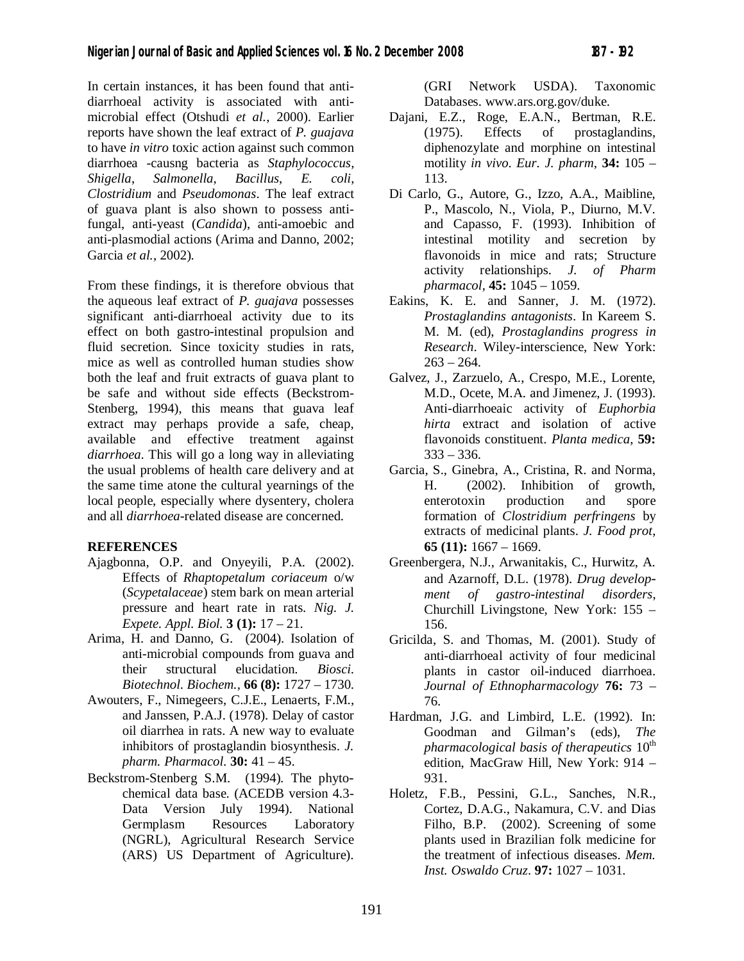In certain instances, it has been found that antidiarrhoeal activity is associated with antimicrobial effect (Otshudi *et al.*, 2000). Earlier reports have shown the leaf extract of *P. guajava*  to have *in vitro* toxic action against such common diarrhoea -causng bacteria as *Staphylococcus*, *Shigella*, *Salmonella*, *Bacillus*, *E. coli*, *Clostridium* and *Pseudomonas*. The leaf extract of guava plant is also shown to possess antifungal, anti-yeast (*Candida*), anti-amoebic and anti-plasmodial actions (Arima and Danno, 2002; Garcia *et al.*, 2002).

From these findings, it is therefore obvious that the aqueous leaf extract of *P. guajava* possesses significant anti-diarrhoeal activity due to its effect on both gastro-intestinal propulsion and fluid secretion. Since toxicity studies in rats, mice as well as controlled human studies show both the leaf and fruit extracts of guava plant to be safe and without side effects (Beckstrom-Stenberg, 1994), this means that guava leaf extract may perhaps provide a safe, cheap, available and effective treatment against *diarrhoea.* This will go a long way in alleviating the usual problems of health care delivery and at the same time atone the cultural yearnings of the local people, especially where dysentery, cholera and all *diarrhoea*-related disease are concerned.

## **REFERENCES**

- Ajagbonna, O.P. and Onyeyili, P.A. (2002). Effects of *Rhaptopetalum coriaceum* o/w (*Scypetalaceae*) stem bark on mean arterial pressure and heart rate in rats. *Nig. J. Expete. Appl. Biol.* **3 (1):** 17 – 21.
- Arima, H. and Danno, G. (2004). Isolation of anti-microbial compounds from guava and their structural elucidation. *Biosci. Biotechnol. Biochem.,* **66 (8):** 1727 – 1730.
- Awouters, F., Nimegeers, C.J.E., Lenaerts, F.M., and Janssen, P.A.J. (1978). Delay of castor oil diarrhea in rats. A new way to evaluate inhibitors of prostaglandin biosynthesis. *J. pharm. Pharmacol.* **30:** 41 – 45.
- Beckstrom-Stenberg S.M. (1994). The phytochemical data base. (ACEDB version 4.3- Data Version July 1994). National Germplasm Resources Laboratory (NGRL), Agricultural Research Service (ARS) US Department of Agriculture).

(GRI Network USDA). Taxonomic Databases. www.ars.org.gov/duke.

- Dajani, E.Z., Roge, E.A.N., Bertman, R.E. (1975). Effects of prostaglandins, diphenozylate and morphine on intestinal motility *in vivo*. *Eur. J. pharm*, **34:** 105 – 113.
- Di Carlo, G., Autore, G., Izzo, A.A., Maibline, P., Mascolo, N., Viola, P., Diurno, M.V. and Capasso, F. (1993). Inhibition of intestinal motility and secretion by flavonoids in mice and rats; Structure activity relationships. *J. of Pharm pharmacol*, **45:** 1045 – 1059.
- Eakins, K. E. and Sanner, J. M. (1972). *Prostaglandins antagonists*. In Kareem S. M. M. (ed), *Prostaglandins progress in Research*. Wiley-interscience, New York:  $263 - 264.$
- Galvez, J., Zarzuelo, A., Crespo, M.E., Lorente, M.D., Ocete, M.A. and Jimenez, J. (1993). Anti-diarrhoeaic activity of *Euphorbia hirta* extract and isolation of active flavonoids constituent. *Planta medica*, **59:**  $333 - 336.$
- Garcia, S., Ginebra, A., Cristina, R. and Norma, H. (2002). Inhibition of growth, enterotoxin production and spore formation of *Clostridium perfringens* by extracts of medicinal plants. *J. Food prot*, **65 (11):** 1667 – 1669.
- Greenbergera, N.J., Arwanitakis, C., Hurwitz, A. and Azarnoff, D.L. (1978). *Drug development of gastro-intestinal disorders*, Churchill Livingstone, New York: 155 – 156.
- Gricilda, S. and Thomas, M. (2001). Study of anti-diarrhoeal activity of four medicinal plants in castor oil-induced diarrhoea. *Journal of Ethnopharmacology* **76:** 73 – 76.
- Hardman, J.G. and Limbird, L.E. (1992). In: Goodman and Gilman's (eds), *The pharmacological basis of therapeutics*  $10<sup>th</sup>$ edition, MacGraw Hill, New York: 914 – 931.
- Holetz, F.B., Pessini, G.L., Sanches, N.R., Cortez, D.A.G., Nakamura, C.V. and Dias Filho, B.P. (2002). Screening of some plants used in Brazilian folk medicine for the treatment of infectious diseases. *Mem. Inst. Oswaldo Cruz*. **97:** 1027 – 1031.